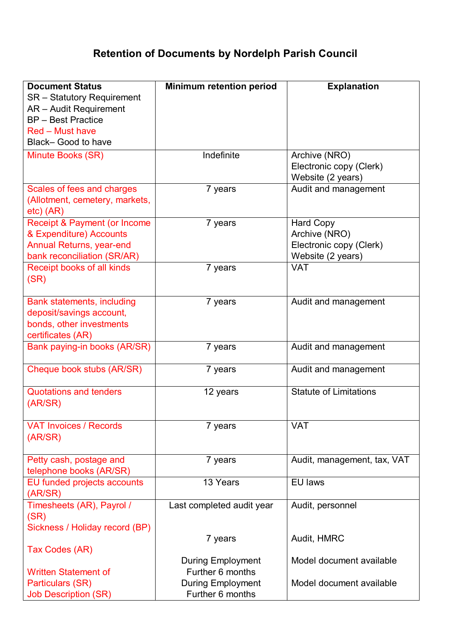## **Retention of Documents by Nordelph Parish Council**

| <b>Document Status</b>                  | <b>Minimum retention period</b> | <b>Explanation</b>            |
|-----------------------------------------|---------------------------------|-------------------------------|
| <b>SR</b> – Statutory Requirement       |                                 |                               |
| AR - Audit Requirement                  |                                 |                               |
| <b>BP</b> - Best Practice               |                                 |                               |
| <b>Red - Must have</b>                  |                                 |                               |
|                                         |                                 |                               |
| Black- Good to have                     |                                 |                               |
| Minute Books (SR)                       | Indefinite                      | Archive (NRO)                 |
|                                         |                                 | Electronic copy (Clerk)       |
|                                         |                                 | Website (2 years)             |
| Scales of fees and charges              | 7 years                         | Audit and management          |
| (Allotment, cemetery, markets,          |                                 |                               |
| $etc)$ (AR)                             |                                 |                               |
| <b>Receipt &amp; Payment (or Income</b> | 7 years                         | <b>Hard Copy</b>              |
| & Expenditure) Accounts                 |                                 | Archive (NRO)                 |
| <b>Annual Returns, year-end</b>         |                                 | Electronic copy (Clerk)       |
| bank reconciliation (SR/AR)             |                                 | Website (2 years)             |
| Receipt books of all kinds              | 7 years                         | <b>VAT</b>                    |
| (SR)                                    |                                 |                               |
|                                         |                                 |                               |
|                                         |                                 |                               |
| <b>Bank statements, including</b>       | 7 years                         | Audit and management          |
| deposit/savings account,                |                                 |                               |
| bonds, other investments                |                                 |                               |
| certificates (AR)                       |                                 |                               |
| Bank paying-in books (AR/SR)            | 7 years                         | Audit and management          |
|                                         |                                 |                               |
| Cheque book stubs (AR/SR)               | 7 years                         | Audit and management          |
|                                         |                                 |                               |
| <b>Quotations and tenders</b>           | 12 years                        | <b>Statute of Limitations</b> |
| (AR/SR)                                 |                                 |                               |
|                                         |                                 |                               |
| <b>VAT Invoices / Records</b>           | 7 years                         | <b>VAT</b>                    |
| (AR/SR)                                 |                                 |                               |
|                                         |                                 |                               |
| Petty cash, postage and                 | 7 years                         | Audit, management, tax, VAT   |
| telephone books (AR/SR)                 |                                 |                               |
| EU funded projects accounts             | 13 Years                        | EU laws                       |
| (AR/SR)                                 |                                 |                               |
| Timesheets (AR), Payrol /               | Last completed audit year       | Audit, personnel              |
| (SR)                                    |                                 |                               |
|                                         |                                 |                               |
| Sickness / Holiday record (BP)          |                                 |                               |
|                                         | 7 years                         | Audit, HMRC                   |
| Tax Codes (AR)                          |                                 |                               |
|                                         | <b>During Employment</b>        | Model document available      |
| <b>Written Statement of</b>             | Further 6 months                |                               |
| Particulars (SR)                        | <b>During Employment</b>        | Model document available      |
| <b>Job Description (SR)</b>             | Further 6 months                |                               |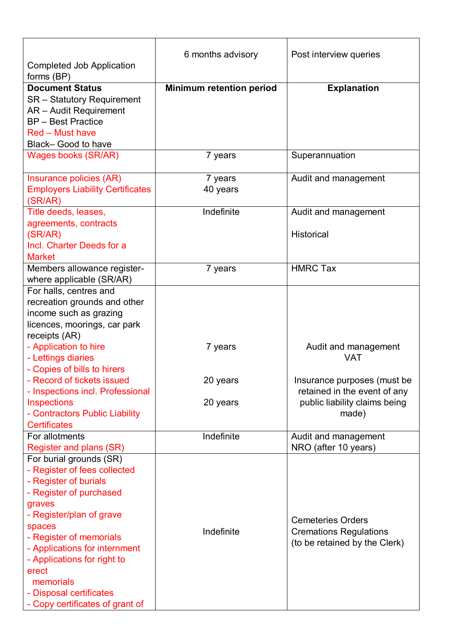| <b>Completed Job Application</b>        | 6 months advisory               | Post interview queries        |
|-----------------------------------------|---------------------------------|-------------------------------|
| forms (BP)<br><b>Document Status</b>    | <b>Minimum retention period</b> | <b>Explanation</b>            |
| <b>SR</b> - Statutory Requirement       |                                 |                               |
| AR - Audit Requirement                  |                                 |                               |
| <b>BP</b> - Best Practice               |                                 |                               |
| <b>Red – Must have</b>                  |                                 |                               |
|                                         |                                 |                               |
| Black- Good to have                     |                                 |                               |
| <b>Wages books (SR/AR)</b>              | 7 years                         | Superannuation                |
| Insurance policies (AR)                 | 7 years                         | Audit and management          |
| <b>Employers Liability Certificates</b> | 40 years                        |                               |
| (SR/AR)                                 |                                 |                               |
| Title deeds, leases,                    | Indefinite                      | Audit and management          |
| agreements, contracts                   |                                 |                               |
| (SR/AR)                                 |                                 | <b>Historical</b>             |
| Incl. Charter Deeds for a               |                                 |                               |
| <b>Market</b>                           |                                 |                               |
| Members allowance register-             | 7 years                         | <b>HMRC Tax</b>               |
| where applicable (SR/AR)                |                                 |                               |
| For halls, centres and                  |                                 |                               |
| recreation grounds and other            |                                 |                               |
| income such as grazing                  |                                 |                               |
| licences, moorings, car park            |                                 |                               |
| receipts (AR)                           |                                 |                               |
| - Application to hire                   | 7 years                         | Audit and management          |
| - Lettings diaries                      |                                 | <b>VAT</b>                    |
| - Copies of bills to hirers             |                                 |                               |
| - Record of tickets issued              | 20 years                        | Insurance purposes (must be   |
| - Inspections incl. Professional        |                                 | retained in the event of any  |
| <b>Inspections</b>                      | 20 years                        | public liability claims being |
| - Contractors Public Liability          |                                 | made)                         |
| <b>Certificates</b>                     |                                 |                               |
| For allotments                          | Indefinite                      | Audit and management          |
| Register and plans (SR)                 |                                 | NRO (after 10 years)          |
| For burial grounds (SR)                 |                                 |                               |
| - Register of fees collected            |                                 |                               |
| - Register of burials                   |                                 |                               |
| - Register of purchased                 |                                 |                               |
| graves                                  |                                 |                               |
| - Register/plan of grave                |                                 |                               |
| spaces                                  |                                 | <b>Cemeteries Orders</b>      |
| - Register of memorials                 | Indefinite                      | <b>Cremations Regulations</b> |
| - Applications for internment           |                                 | (to be retained by the Clerk) |
| - Applications for right to             |                                 |                               |
| erect                                   |                                 |                               |
| memorials                               |                                 |                               |
| - Disposal certificates                 |                                 |                               |
| - Copy certificates of grant of         |                                 |                               |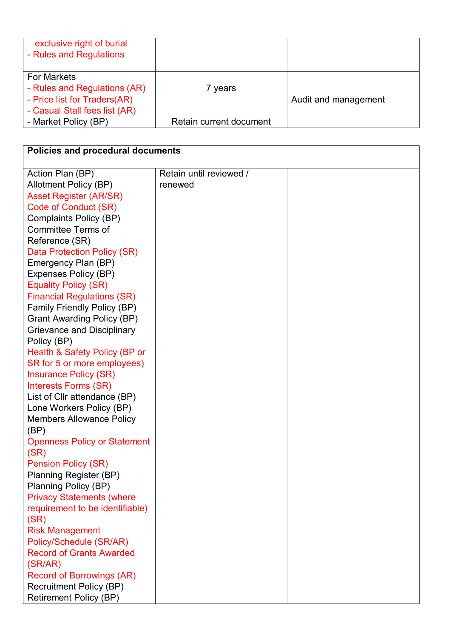| exclusive right of burial<br>- Rules and Regulations                                                                |                         |                      |
|---------------------------------------------------------------------------------------------------------------------|-------------------------|----------------------|
| <b>For Markets</b><br>- Rules and Regulations (AR)<br>- Price list for Traders(AR)<br>- Casual Stall fees list (AR) | 7 years                 | Audit and management |
| - Market Policy (BP)                                                                                                | Retain current document |                      |

| <b>Policies and procedural documents</b> |                         |  |  |  |
|------------------------------------------|-------------------------|--|--|--|
| Action Plan (BP)                         | Retain until reviewed / |  |  |  |
| Allotment Policy (BP)                    | renewed                 |  |  |  |
| <b>Asset Register (AR/SR)</b>            |                         |  |  |  |
| Code of Conduct (SR)                     |                         |  |  |  |
| Complaints Policy (BP)                   |                         |  |  |  |
| <b>Committee Terms of</b>                |                         |  |  |  |
| Reference (SR)                           |                         |  |  |  |
| Data Protection Policy (SR)              |                         |  |  |  |
| Emergency Plan (BP)                      |                         |  |  |  |
| Expenses Policy (BP)                     |                         |  |  |  |
| <b>Equality Policy (SR)</b>              |                         |  |  |  |
| <b>Financial Regulations (SR)</b>        |                         |  |  |  |
| <b>Family Friendly Policy (BP)</b>       |                         |  |  |  |
| <b>Grant Awarding Policy (BP)</b>        |                         |  |  |  |
| <b>Grievance and Disciplinary</b>        |                         |  |  |  |
| Policy (BP)                              |                         |  |  |  |
| Health & Safety Policy (BP or            |                         |  |  |  |
| SR for 5 or more employees)              |                         |  |  |  |
| <b>Insurance Policy (SR)</b>             |                         |  |  |  |
| Interests Forms (SR)                     |                         |  |  |  |
| List of Cllr attendance (BP)             |                         |  |  |  |
| Lone Workers Policy (BP)                 |                         |  |  |  |
| <b>Members Allowance Policy</b>          |                         |  |  |  |
| (BP)                                     |                         |  |  |  |
| <b>Openness Policy or Statement</b>      |                         |  |  |  |
| (SR)                                     |                         |  |  |  |
| <b>Pension Policy (SR)</b>               |                         |  |  |  |
| Planning Register (BP)                   |                         |  |  |  |
| Planning Policy (BP)                     |                         |  |  |  |
| <b>Privacy Statements (where</b>         |                         |  |  |  |
| requirement to be identifiable)          |                         |  |  |  |
| (SR)                                     |                         |  |  |  |
| <b>Risk Management</b>                   |                         |  |  |  |
| Policy/Schedule (SR/AR)                  |                         |  |  |  |
| <b>Record of Grants Awarded</b>          |                         |  |  |  |
| (SR/AR)                                  |                         |  |  |  |
| <b>Record of Borrowings (AR)</b>         |                         |  |  |  |
| <b>Recruitment Policy (BP)</b>           |                         |  |  |  |
| <b>Retirement Policy (BP)</b>            |                         |  |  |  |